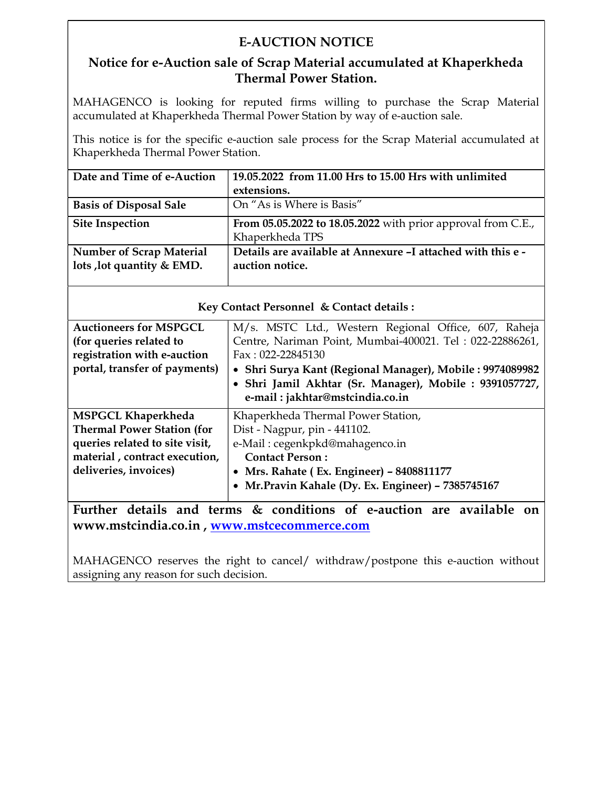## E-AUCTION NOTICE

### Notice for e-Auction sale of Scrap Material accumulated at Khaperkheda Thermal Power Station.

MAHAGENCO is looking for reputed firms willing to purchase the Scrap Material accumulated at Khaperkheda Thermal Power Station by way of e-auction sale.

This notice is for the specific e-auction sale process for the Scrap Material accumulated at Khaperkheda Thermal Power Station.

| Date and Time of e-Auction      | 19.05.2022 from 11.00 Hrs to 15.00 Hrs with unlimited        |
|---------------------------------|--------------------------------------------------------------|
|                                 | extensions.                                                  |
| <b>Basis of Disposal Sale</b>   | On "As is Where is Basis"                                    |
| <b>Site Inspection</b>          | From 05.05.2022 to 18.05.2022 with prior approval from C.E., |
|                                 | Khaperkheda TPS                                              |
| <b>Number of Scrap Material</b> | Details are available at Annexure -I attached with this e -  |
| lots , lot quantity & EMD.      | auction notice.                                              |
|                                 |                                                              |

| Rey Comact I eisonnel & Comact details.          |                                                          |  |  |  |  |  |
|--------------------------------------------------|----------------------------------------------------------|--|--|--|--|--|
| <b>Auctioneers for MSPGCL</b>                    | M/s. MSTC Ltd., Western Regional Office, 607, Raheja     |  |  |  |  |  |
| (for queries related to                          | Centre, Nariman Point, Mumbai-400021. Tel: 022-22886261, |  |  |  |  |  |
| registration with e-auction                      | Fax: 022-22845130                                        |  |  |  |  |  |
| portal, transfer of payments)                    | • Shri Surya Kant (Regional Manager), Mobile: 9974089982 |  |  |  |  |  |
|                                                  | • Shri Jamil Akhtar (Sr. Manager), Mobile : 9391057727,  |  |  |  |  |  |
|                                                  | e-mail: jakhtar@mstcindia.co.in                          |  |  |  |  |  |
| <b>MSPGCL Khaperkheda</b>                        | Khaperkheda Thermal Power Station,                       |  |  |  |  |  |
| <b>Thermal Power Station (for</b>                | Dist - Nagpur, pin - 441102.                             |  |  |  |  |  |
| queries related to site visit,                   | e-Mail: cegenkpkd@mahagenco.in                           |  |  |  |  |  |
| material, contract execution,                    | <b>Contact Person:</b>                                   |  |  |  |  |  |
| deliveries, invoices)                            | • Mrs. Rahate (Ex. Engineer) - 8408811177                |  |  |  |  |  |
|                                                  | • Mr. Pravin Kahale (Dy. Ex. Engineer) - 7385745167      |  |  |  |  |  |
| $\sim$ $\sim$<br><b>The Second Second Second</b> | $\sim$ $\sim$<br>$\sim$<br>.                             |  |  |  |  |  |

Further details and terms & conditions of e-auction are available on www.mstcindia.co.in , www.mstcecommerce.com

MAHAGENCO reserves the right to cancel/ withdraw/postpone this e-auction without assigning any reason for such decision.

#### $K_{\text{eV}}$  Contact Personnel  $k_r$  Contact details  $\cdot$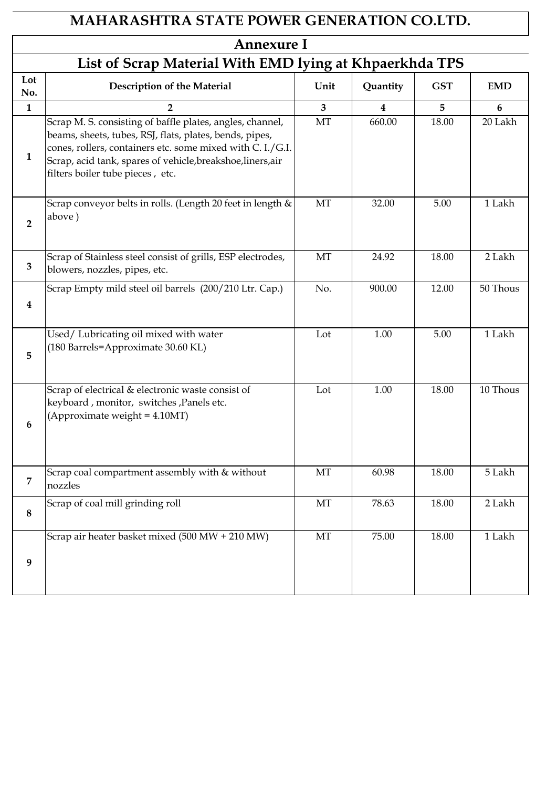# **MAHARASHTRA STATE POWER GENERATION CO.LTD.**

## **Annexure I**

|                  | List of Scrap Material With EMD lying at Khpaerkhda TPS                                                                                                                                                                                                                               |                         |          |            |                 |  |  |  |
|------------------|---------------------------------------------------------------------------------------------------------------------------------------------------------------------------------------------------------------------------------------------------------------------------------------|-------------------------|----------|------------|-----------------|--|--|--|
| Lot<br>No.       | <b>Description of the Material</b>                                                                                                                                                                                                                                                    | Unit                    | Quantity | <b>GST</b> | <b>EMD</b>      |  |  |  |
| $\mathbf{1}$     | $\overline{2}$                                                                                                                                                                                                                                                                        | $\overline{\mathbf{3}}$ | 4        | 5          | $6\phantom{1}6$ |  |  |  |
| $\mathbf{1}$     | Scrap M. S. consisting of baffle plates, angles, channel,<br>beams, sheets, tubes, RSJ, flats, plates, bends, pipes,<br>cones, rollers, containers etc. some mixed with C. I./G.I.<br>Scrap, acid tank, spares of vehicle, breakshoe, liners, air<br>filters boiler tube pieces, etc. | MT                      | 660.00   | 18.00      | 20 Lakh         |  |  |  |
| $\overline{2}$   | Scrap conveyor belts in rolls. (Length 20 feet in length &<br>above)                                                                                                                                                                                                                  | MT                      | 32.00    | 5.00       | 1 Lakh          |  |  |  |
| $\mathbf{3}$     | Scrap of Stainless steel consist of grills, ESP electrodes,<br>blowers, nozzles, pipes, etc.                                                                                                                                                                                          | MT                      | 24.92    | 18.00      | 2 Lakh          |  |  |  |
| $\bf{4}$         | Scrap Empty mild steel oil barrels (200/210 Ltr. Cap.)                                                                                                                                                                                                                                | No.                     | 900.00   | 12.00      | 50 Thous        |  |  |  |
| 5                | Used/Lubricating oil mixed with water<br>(180 Barrels=Approximate 30.60 KL)                                                                                                                                                                                                           | Lot                     | 1.00     | 5.00       | 1 Lakh          |  |  |  |
| $6\phantom{1}6$  | Scrap of electrical & electronic waste consist of<br>keyboard, monitor, switches, Panels etc.<br>(Approximate weight = 4.10MT)                                                                                                                                                        | Lot                     | 1.00     | 18.00      | 10 Thous        |  |  |  |
| 7                | Scrap coal compartment assembly with & without<br>nozzles                                                                                                                                                                                                                             | MT                      | 60.98    | 18.00      | 5 Lakh          |  |  |  |
| $\boldsymbol{8}$ | Scrap of coal mill grinding roll                                                                                                                                                                                                                                                      | MT                      | 78.63    | 18.00      | 2 Lakh          |  |  |  |
| 9                | Scrap air heater basket mixed (500 MW + 210 MW)                                                                                                                                                                                                                                       | MT                      | 75.00    | 18.00      | 1 Lakh          |  |  |  |